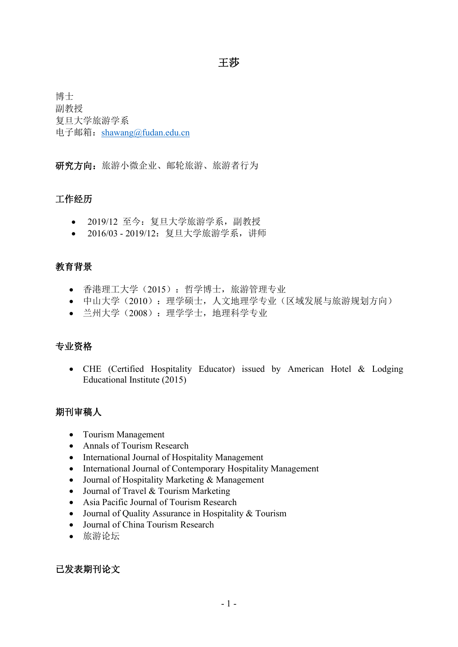# 王莎 アンドライバ しゅうしょう しんしょう しんしょう

博士 副教授 复旦大学旅游学系 电子邮箱: [shawang@fudan.edu.cn](mailto:shawang@fudan.edu.cn)

研究方向:旅游小微企业、邮轮旅游、旅游者行为

## 工作经历

- 2019/12 至今:复旦大学旅游学系,副教授
- 2016/03 2019/12:复旦大学旅游学系,讲师

## 教育背景

- 香港理工大学(2015):哲学博士,旅游管理专业
- 中山大学(2010):理学硕士,人文地理学专业(区域发展与旅游规划方向)
- 兰州大学(2008):理学学士,地理科学专业

### 专业资格

• CHE (Certified Hospitality Educator) issued by American Hotel & Lodging Educational Institute (2015)

## 期刊审稿人

- Tourism Management
- Annals of Tourism Research
- International Journal of Hospitality Management
- International Journal of Contemporary Hospitality Management
- Journal of Hospitality Marketing & Management
- Journal of Travel & Tourism Marketing
- Asia Pacific Journal of Tourism Research
- Journal of Quality Assurance in Hospitality & Tourism
- Journal of China Tourism Research
- 旅游论坛

已发表期刊论文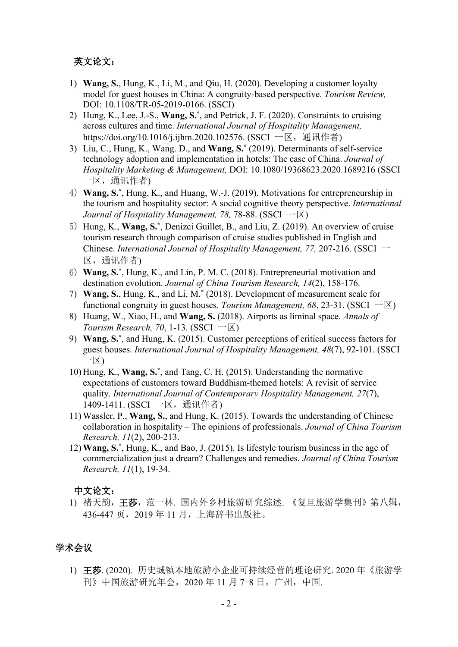#### 英文论文:

- 1) **Wang, S.**, Hung, K., Li, M., and Qiu, H. (2020). Developing a customer loyalty model for guest houses in China: A congruity-based perspective. *Tourism Review,* DOI: 10.1108/TR-05-2019-0166. (SSCI)
- 2) Hung, K., Lee, J.-S., **Wang, S.\*** , and Petrick, J. F. (2020). Constraints to cruising across cultures and time. *International Journal of Hospitality Management,* https://doi.org/10.1016/j.ijhm.2020.102576. (SSCI 一区, 通讯作者)
- 3) Liu, C., Hung, K., Wang. D., and **Wang, S.\*** (2019). Determinants ofself-service technology adoption and implementation in hotels: The case of China. *Journal of Hospitality Marketing & Management,* DOI: 10.1080/19368623.2020.1689216 (SSCI 一区,通讯作者)
- 4) **Wang, S.\*** , Hung, K., and Huang, W.-J. (2019). Motivations for entrepreneurship in the tourism and hospitality sector: A social cognitive theory perspective. *International Journal of Hospitality Management, 78, 78-88.* (SSCI  $-\overline{X}$ )
- 5) Hung, K., **Wang, S.\*** , Denizci Guillet, B., and Liu, Z. (2019). An overview of cruise tourism research through comparison of cruise studies published in English and Chinese. *International Journal of Hospitality Management, 77,* 207-216. (SSCI 一 区,通讯作者)
- 6) **Wang, S.\*** , Hung, K., and Lin, P. M. C. (2018). Entrepreneurial motivation and destination evolution. *Journal of China Tourism Research, 14*(2), 158-176.
- 7) **Wang, S.**, Hung, K., and Li, M.**\*** (2018). Development of measurement scale for functional congruity in guest houses. *Tourism Management*,  $68, 23-31$ . (SSCI  $-\boxtimes$ )
- 8) Huang, W., Xiao, H., and **Wang, S.** (2018). Airports as liminal space. *Annals of Tourism Research, 70, 1-13.* (SSCI  $-\overline{X}$ )
- 9) **Wang, S.\*** , and Hung, K. (2015). Customer perceptions of critical success factors for guest houses. *International Journal of Hospitality Management, 48*(7), 92-101. (SSCI 一区)
- 10) Hung, K., **Wang, S.\*** , and Tang, C. H. (2015). Understanding the normative expectations of customers toward Buddhism-themed hotels: A revisit of service quality. *International Journal of Contemporary Hospitality Management, 27*(7), 1409-1411. (SSCI 一区, 通讯作者)
- 11) Wassler, P., **Wang, S.**, and Hung, K. (2015). Towards the understanding of Chinese collaboration in hospitality – The opinions of professionals. *Journal of China Tourism Research, 11*(2), 200-213.
- 12) **Wang, S.\*** , Hung, K., and Bao, J. (2015). Is lifestyle tourism business in the age of commercialization just a dream? Challenges and remedies. *Journal of China Tourism Research, 11*(1), 19-34.

#### 中文论文:

1) 褚天韵,王莎,范一林. 国内外乡村旅游研究综述. 《复旦旅游学集刊》第八辑, 436-447 页,2019 年 11 月,上海辞书出版社。

### 学术会议

1) 王莎. (2020). 历史城镇本地旅游小企业可持续经营的理论研究. 2020 年《旅游学 刊》中国旅游研究年会,2020 年 11 月 7-8 日,广州,中国.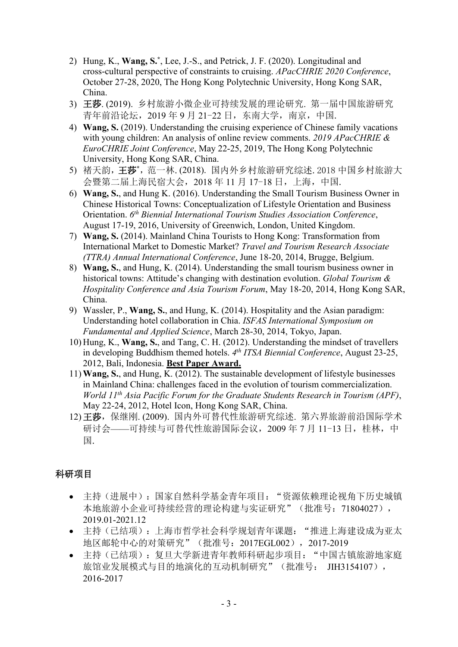- 2) Hung, K., **Wang, S.\*** , Lee, J.-S., and Petrick, J. F. (2020). Longitudinal and cross-cultural perspective of constraints to cruising. *APacCHRIE 2020 Conference*, October 27-28, 2020, The Hong Kong Polytechnic University, Hong Kong SAR, China.
- 3) 王莎. (2019). 乡村旅游小微企业可持续发展的理论研究. 第一届中国旅游研究 青年前沿论坛,2019 年 9 月 21-22 日,东南大学,南京,中国.
- 4) **Wang, S.** (2019). Understanding the cruising experience of Chinese family vacations with young children: An analysis of online review comments. 2019 APacCHRIE & *EuroCHRIE Joint Conference*, May 22-25, 2019, The Hong Kong Polytechnic University, Hong Kong SAR, China.
- 5) 褚天韵,王莎**\***,范一林.(2018). 国内外乡村旅游研究综述.2018 中国乡村旅游大 会暨第二届上海民宿大会,2018 年 11 月 17-18 日,上海,中国.
- 6) **Wang, S.**, and Hung K. (2016). Understanding the Small Tourism Business Owner in Chinese Historical Towns: Conceptualization of Lifestyle Orientation and Business Orientation. *6 th Biennial International Tourism Studies Association Conference*, August 17-19, 2016, University of Greenwich, London, United Kingdom.
- 7) **Wang, S.** (2014). Mainland China Tourists to Hong Kong: Transformation from International Market to Domestic Market? *Travel and Tourism Research Associate (TTRA) Annual International Conference*, June 18-20, 2014, Brugge, Belgium.
- 8) **Wang, S.**, and Hung, K. (2014). Understanding the small tourism business owner in historical towns: Attitude's changing with destination evolution. *Global Tourism & Hospitality Conference and Asia Tourism Forum*, May 18-20, 2014, Hong Kong SAR, China.
- 9) Wassler, P., **Wang, S.**, and Hung, K. (2014). Hospitality and the Asian paradigm: Understanding hotel collaboration in Chia. *ISFAS International Symposium on Fundamental and Applied Science*, March 28-30, 2014, Tokyo, Japan.
- 10) Hung, K., **Wang, S.**, and Tang, C. H. (2012). Understanding the mindset of travellers in developing Buddhism themed hotels. *4 th ITSA Biennial Conference*, August 23-25, 2012, Bali, Indonesia. **Best Paper Award.**
- 11) **Wang, S.**, and Hung, K. (2012). The sustainable development of lifestyle businesses in Mainland China: challenges faced in the evolution of tourism commercialization. *World 11 th Asia Pacific Forum for the Graduate Students Research in Tourism (APF)*, May 22-24, 2012, Hotel Icon, Hong Kong SAR, China.
- 12) 王莎,保继刚. (2009). 国内外可替代性旅游研究综述. 第六界旅游前沿国际学术 研讨会——可持续与可替代性旅游国际会议, 2009年7月 11-13日, 桂林, 中 国.

# 科研项目

- 主持(进展中):国家自然科学基金青年项目:"资源依赖理论视角下历史城镇 本地旅游小企业可持续经营的理论构建与实证研究"(批准号: 71804027), 2019.01-2021.12
- 主持(已结项):上海市哲学社会科学规划青年课题:"推进上海建设成为亚太 地区邮轮中心的对策研究"(批准号:2017EGL002),2017-2019
- 主持(已结项):复旦大学新进青年教师科研起步项目:"中国古镇旅游地家庭 旅馆业发展模式与目的地演化的互动机制研究"(批准号: JIH3154107), 2016-2017